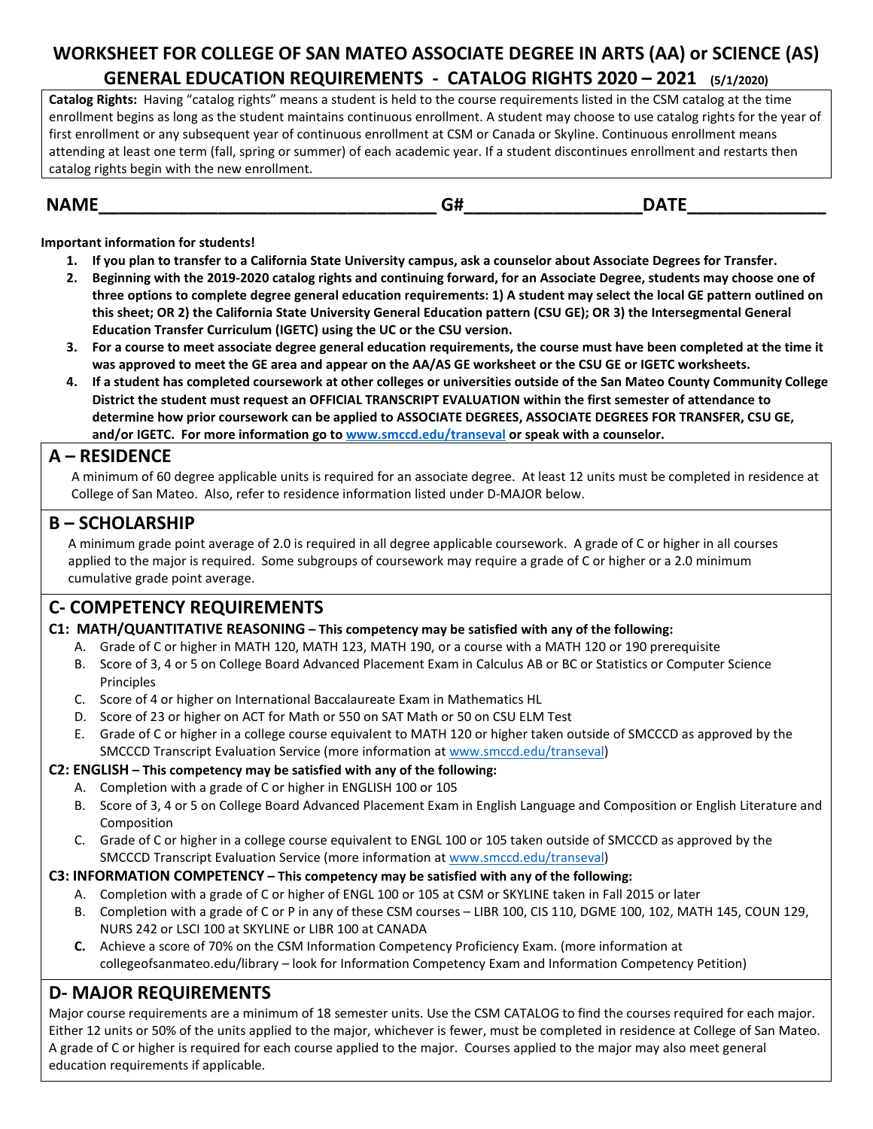# **WORKSHEET FOR COLLEGE OF SAN MATEO ASSOCIATE DEGREE IN ARTS (AA) or SCIENCE (AS) GENERAL EDUCATION REQUIREMENTS - CATALOG RIGHTS 2020 – 2021 (5/1/2020)**

**Catalog Rights:** Having "catalog rights" means a student is held to the course requirements listed in the CSM catalog at the time enrollment begins as long as the student maintains continuous enrollment. A student may choose to use catalog rights for the year of first enrollment or any subsequent year of continuous enrollment at CSM or Canada or Skyline. Continuous enrollment means attending at least one term (fall, spring or summer) of each academic year. If a student discontinues enrollment and restarts then catalog rights begin with the new enrollment.

## **NAME\_\_\_\_\_\_\_\_\_\_\_\_\_\_\_\_\_\_\_\_\_\_\_\_\_\_\_\_\_\_\_\_\_\_ G#\_\_\_\_\_\_\_\_\_\_\_\_\_\_\_\_\_\_DATE\_\_\_\_\_\_\_\_\_\_\_\_\_\_**

**Important information for students!**

- **1. If you plan to transfer to a California State University campus, ask a counselor about Associate Degrees for Transfer.**
- **2. Beginning with the 2019-2020 catalog rights and continuing forward, for an Associate Degree, students may choose one of three options to complete degree general education requirements: 1) A student may select the local GE pattern outlined on this sheet; OR 2) the California State University General Education pattern (CSU GE); OR 3) the Intersegmental General Education Transfer Curriculum (IGETC) using the UC or the CSU version.**
- **3. For a course to meet associate degree general education requirements, the course must have been completed at the time it was approved to meet the GE area and appear on the AA/AS GE worksheet or the CSU GE or IGETC worksheets.**
- **4. If a student has completed coursework at other colleges or universities outside of the San Mateo County Community College District the student must request an OFFICIAL TRANSCRIPT EVALUATION within the first semester of attendance to determine how prior coursework can be applied to ASSOCIATE DEGREES, ASSOCIATE DEGREES FOR TRANSFER, CSU GE, and/or IGETC. For more information go to [www.smccd.edu/transeval](http://www.smccd.edu/transeval) or speak with a counselor.**

**A** – **RESIDENCE**<br>A minimum of 60 degree applicable units is required for an associate degree. At least 12 units must be completed in residence at College of San Mateo. Also, refer to residence information listed under D-MAJOR below.

## **B – SCHOLARSHIP**

 A minimum grade point average of 2.0 is required in all degree applicable coursework. A grade of C or higher in all courses applied to the major is required. Some subgroups of coursework may require a grade of C or higher or a 2.0 minimum cumulative grade point average.

# **C- COMPETENCY REQUIREMENTS**

#### **C1: MATH/QUANTITATIVE REASONING – This competency may be satisfied with any of the following:**

- A. Grade of C or higher in MATH 120, MATH 123, MATH 190, or a course with a MATH 120 or 190 prerequisite
- B. Score of 3, 4 or 5 on College Board Advanced Placement Exam in Calculus AB or BC or Statistics or Computer Science **Principles**
- C. Score of 4 or higher on International Baccalaureate Exam in Mathematics HL
- D. Score of 23 or higher on ACT for Math or 550 on SAT Math or 50 on CSU ELM Test
- E. Grade of C or higher in a college course equivalent to MATH 120 or higher taken outside of SMCCCD as approved by the SMCCCD Transcript Evaluation Service (more information at [www.smccd.edu/transeval\)](http://www.smccd.edu/transeval)

#### **C2: ENGLISH – This competency may be satisfied with any of the following:**

- A. Completion with a grade of C or higher in ENGLISH 100 or 105
- B. Score of 3, 4 or 5 on College Board Advanced Placement Exam in English Language and Composition or English Literature and Composition
- C. Grade of C or higher in a college course equivalent to ENGL 100 or 105 taken outside of SMCCCD as approved by the SMCCCD Transcript Evaluation Service (more information at [www.smccd.edu/transeval\)](http://www.smccd.edu/transeval)

#### **C3: INFORMATION COMPETENCY – This competency may be satisfied with any of the following:**

- A. Completion with a grade of C or higher of ENGL 100 or 105 at CSM or SKYLINE taken in Fall 2015 or later
- B. Completion with a grade of C or P in any of these CSM courses LIBR 100, CIS 110, DGME 100, 102, MATH 145, COUN 129, NURS 242 or LSCI 100 at SKYLINE or LIBR 100 at CANADA
- **C.** Achieve a score of 70% on the CSM Information Competency Proficiency Exam. (more information at collegeofsanmateo.edu/library – look for Information Competency Exam and Information Competency Petition)

# **D- MAJOR REQUIREMENTS**

Major course requirements are a minimum of 18 semester units. Use the CSM CATALOG to find the courses required for each major. Either 12 units or 50% of the units applied to the major, whichever is fewer, must be completed in residence at College of San Mateo. A grade of C or higher is required for each course applied to the major. Courses applied to the major may also meet general education requirements if applicable.